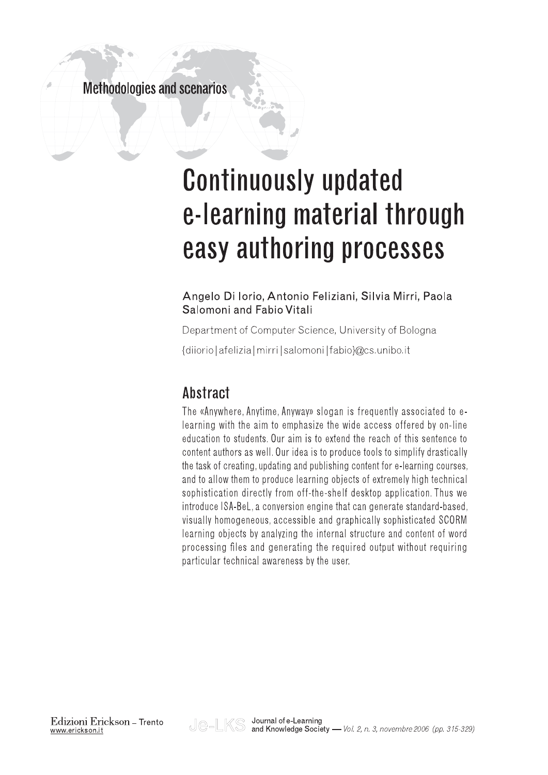## **Methodologies and scenarios**

# **Continuously updated** e-learning material through easy authoring processes

#### Angelo Di Iorio, Antonio Feliziani, Silvia Mirri, Paola Salomoni and Fabio Vitali

Department of Computer Science, University of Bologna

{diiorio | afelizia | mirri | salomoni | fabio } @ cs. unibo.it

# Abstract

The «Anywhere, Anytime, Anyway» slogan is frequently associated to elearning with the aim to emphasize the wide access offered by on-line education to students. Our aim is to extend the reach of this sentence to content authors as well. Our idea is to produce tools to simplify drastically the task of creating, updating and publishing content for e-learning courses, and to allow them to produce learning objects of extremely high technical sophistication directly from off-the-shelf desktop application. Thus we introduce ISA-BeL, a conversion engine that can generate standard-based. visually homogeneous, accessible and graphically sophisticated SCORM learning objects by analyzing the internal structure and content of word processing files and generating the required output without requiring particular technical awareness by the user.

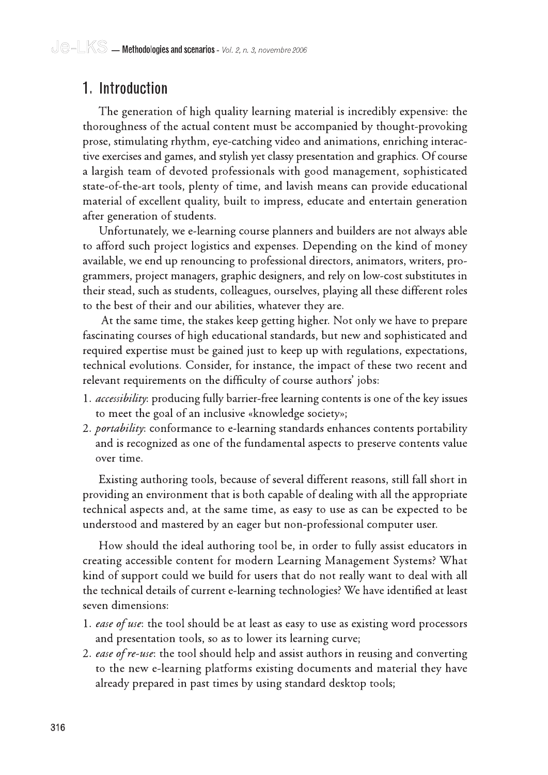# 1. Introduction

The generation of high quality learning material is incredibly expensive: the thoroughness of the actual content must be accompanied by thought-provoking prose, stimulating rhythm, eye-catching video and animations, enriching interactive exercises and games, and stylish yet classy presentation and graphics. Of course a largish team of devoted professionals with good management, sophisticated state-of-the-art tools, plenty of time, and lavish means can provide educational material of excellent quality, built to impress, educate and entertain generation after generation of students.

Unfortunately, we e-learning course planners and builders are not always able to afford such project logistics and expenses. Depending on the kind of money available, we end up renouncing to professional directors, animators, writers, programmers, project managers, graphic designers, and rely on low-cost substitutes in their stead, such as students, colleagues, ourselves, playing all these different roles to the best of their and our abilities, whatever they are.

At the same time, the stakes keep getting higher. Not only we have to prepare fascinating courses of high educational standards, but new and sophisticated and required expertise must be gained just to keep up with regulations, expectations, technical evolutions. Consider, for instance, the impact of these two recent and relevant requirements on the difficulty of course authors' jobs:

- 1. *accessibility*: producing fully barrier-free learning contents is one of the key issues to meet the goal of an inclusive «knowledge society»;
- 2. *portability*: conformance to e-learning standards enhances contents portability and is recognized as one of the fundamental aspects to preserve contents value over time.

Existing authoring tools, because of several different reasons, still fall short in providing an environment that is both capable of dealing with all the appropriate technical aspects and, at the same time, as easy to use as can be expected to be understood and mastered by an eager but non-professional computer user.

How should the ideal authoring tool be, in order to fully assist educators in creating accessible content for modern Learning Management Systems? What kind of support could we build for users that do not really want to deal with all the technical details of current e-learning technologies? We have identified at least seven dimensions:

- 1. ease of use: the tool should be at least as easy to use as existing word processors and presentation tools, so as to lower its learning curve;
- 2. ease of re-use: the tool should help and assist authors in reusing and converting to the new e-learning platforms existing documents and material they have already prepared in past times by using standard desktop tools;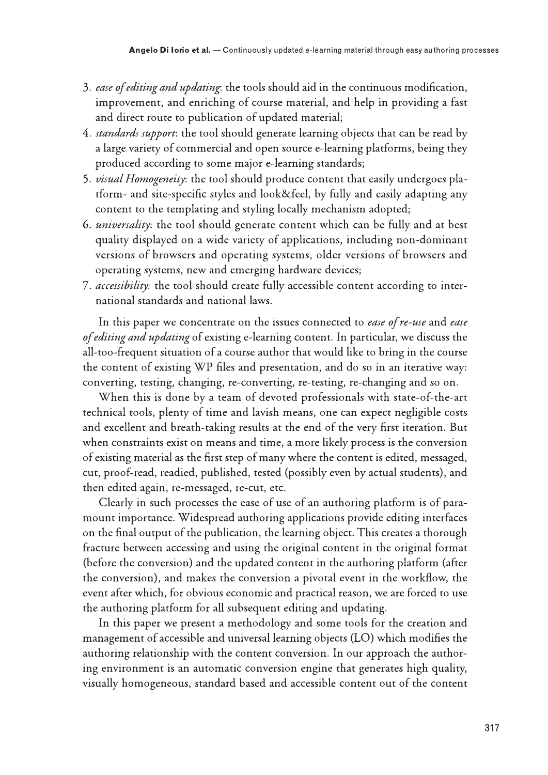- improvement, and enriching of course material, and help in providing a fast and direct route to publication of updated material;
- Angelo Dilorio et al. Continuously updated e-learning material through easy authoring processes are detectively and updating: the tools should aid in the continuous modification, improvement, and enriching of course mate 4. standards support: the tool should generate learning objects that can be read by a large variety of commercial and open source e-learning platforms, being they produced according to some major e-learning standards;
	- 5. visual Homogeneity: the tool should produce content that easily undergoes platform- and site-specific styles and look&feel, by fully and easily adapting any content to the templating and styling locally mechanism adopted;
	- 6. *universality*: the tool should generate content which can be fully and at best quality displayed on a wide variety of applications, including non-dominant versions of browsers and operating systems, older versions of browsers and operating systems, new and emerging hardware devices;
	- 7. accessibility: the tool should create fully accessible content according to international standards and national laws.

In this paper we concentrate on the issues connected to *ease of re-use* and *ease* of editing and updating of existing e-learning content. In particular, we discuss the all-too-frequent situation of a course author that would like to bring in the course the content of existing WP files and presentation, and do so in an iterative way: converting, testing, changing, re-converting, re-testing, re-changing and so on.

When this is done by a team of devoted professionals with state-of-the-art technical tools, plenty of time and lavish means, one can expect negligible costs and excellent and breath-taking results at the end of the very first iteration. But when constraints exist on means and time, a more likely process is the conversion of existing material as the first step of many where the content is edited, messaged, cut, proof-read, readied, published, tested (possibly even by actual students), and then edited again, re-messaged, re-cut, etc.

Clearly in such processes the ease of use of an authoring platform is of paramount importance. Widespread authoring applications provide editing interfaces on the final output of the publication, the learning object. This creates a thorough fracture between accessing and using the original content in the original format (before the conversion) and the updated content in the authoring platform (after the conversion), and makes the conversion a pivotal event in the workflow, the event after which, for obvious economic and practical reason, we are forced to use the authoring platform for all subsequent editing and updating.

In this paper we present a methodology and some tools for the creation and management of accessible and universal learning objects (LO) which modifies the authoring relationship with the content conversion. In our approach the authoring environment is an automatic conversion engine that generates high quality, visually homogeneous, standard based and accessible content out of the content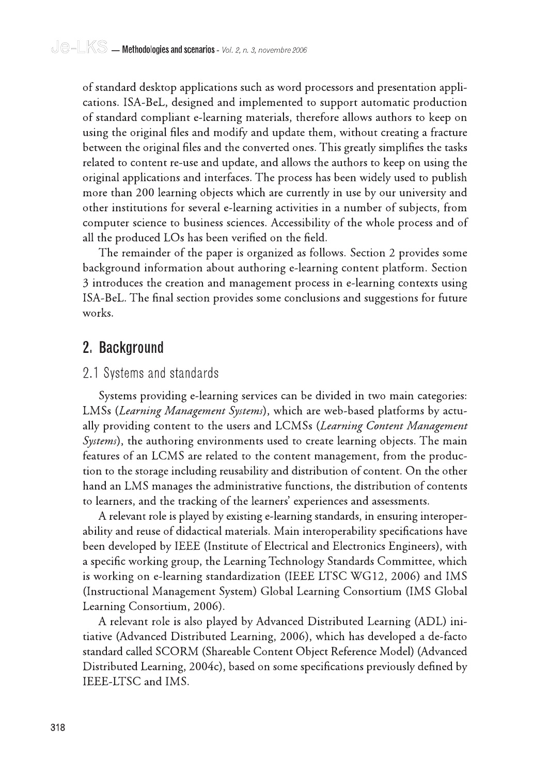of standard desktop applications such as word processors and presentation applications. ISA-BeL, designed and implemented to support automatic production of standard compliant e-learning materials, therefore allows authors to keep on using the original files and modify and update them, without creating a fracture between the original files and the converted ones. This greatly simplifies the tasks related to content re-use and update, and allows the authors to keep on using the original applications and interfaces. The process has been widely used to publish more than 200 learning objects which are currently in use by our university and other institutions for several e-learning activities in a number of subjects, from computer science to business sciences. Accessibility of the whole process and of all the produced LOs has been verified on the field.

The remainder of the paper is organized as follows. Section 2 provides some background information about authoring e-learning content platform. Section 3 introduces the creation and management process in e-learning contexts using ISA-BeL. The final section provides some conclusions and suggestions for future works.

### 2. Background

#### 2.1 Systems and standards

Systems providing e-learning services can be divided in two main categories: LMSs (Learning Management Systems), which are web-based platforms by actually providing content to the users and LCMSs (Learning Content Management *Systems*), the authoring environments used to create learning objects. The main features of an LCMS are related to the content management, from the production to the storage including reusability and distribution of content. On the other hand an LMS manages the administrative functions, the distribution of contents to learners, and the tracking of the learners' experiences and assessments.

A relevant role is played by existing e-learning standards, in ensuring interoperability and reuse of didactical materials. Main interoperability specifications have been developed by IEEE (Institute of Electrical and Electronics Engineers), with a specific working group, the Learning Technology Standards Committee, which is working on e-learning standardization (IEEE LTSC WG12, 2006) and IMS (Instructional Management System) Global Learning Consortium (IMS Global Learning Consortium, 2006).

A relevant role is also played by Advanced Distributed Learning (ADL) initiative (Advanced Distributed Learning, 2006), which has developed a de-facto standard called SCORM (Shareable Content Object Reference Model) (Advanced Distributed Learning, 2004c), based on some specifications previously defined by IEEE-LTSC and IMS.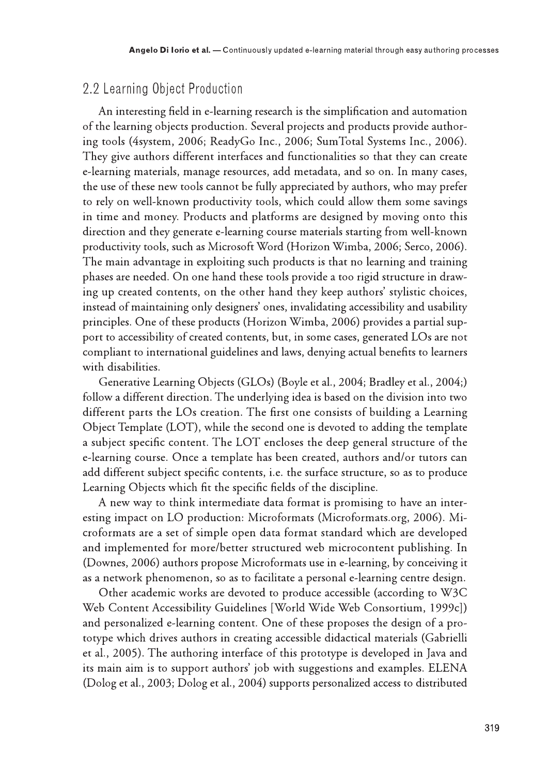#### 2.2 Learning Object Production

An interesting field in e-learning research is the simplification and automation of the learning objects production. Several projects and products provide authoring tools (4system, 2006; ReadyGo Inc., 2006; SumTotal Systems Inc., 2006). They give authors different interfaces and functionalities so that they can create e-learning materials, manage resources, add metadata, and so on. In many cases, the use of these new tools cannot be fully appreciated by authors, who may prefer to rely on well-known productivity tools, which could allow them some savings in time and money. Products and platforms are designed by moving onto this direction and they generate e-learning course materials starting from well-known productivity tools, such as Microsoft Word (Horizon Wimba, 2006; Serco, 2006). The main advantage in exploiting such products is that no learning and training phases are needed. On one hand these tools provide a too rigid structure in drawing up created contents, on the other hand they keep authors' stylistic choices, instead of maintaining only designers' ones, invalidating accessibility and usability principles. One of these products (Horizon Wimba, 2006) provides a partial support to accessibility of created contents, but, in some cases, generated LOs are not compliant to international guidelines and laws, denying actual benefits to learners with disabilities.

Generative Learning Objects (GLOs) (Boyle et al., 2004; Bradley et al., 2004;) follow a different direction. The underlying idea is based on the division into two different parts the LOs creation. The first one consists of building a Learning Object Template (LOT), while the second one is devoted to adding the template a subject specific content. The LOT encloses the deep general structure of the e-learning course. Once a template has been created, authors and/or tutors can add different subject specific contents, i.e. the surface structure, so as to produce Learning Objects which fit the specific fields of the discipline.

A new way to think intermediate data format is promising to have an interesting impact on LO production: Microformats (Microformats.org, 2006). Microformats are a set of simple open data format standard which are developed and implemented for more/better structured web microcontent publishing. In (Downes, 2006) authors propose Microformats use in e-learning, by conceiving it as a network phenomenon, so as to facilitate a personal e-learning centre design.

Other academic works are devoted to produce accessible (according to W3C Web Content Accessibility Guidelines [World Wide Web Consortium, 1999c]) and personalized e-learning content. One of these proposes the design of a prototype which drives authors in creating accessible didactical materials (Gabrielli et al., 2005). The authoring interface of this prototype is developed in Java and its main aim is to support authors' job with suggestions and examples. ELENA (Dolog et al., 2003; Dolog et al., 2004) supports personalized access to distributed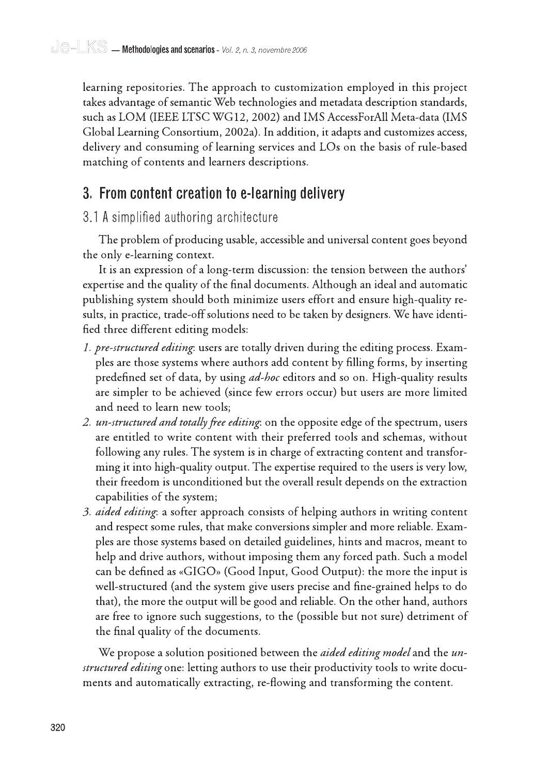learning repositories. The approach to customization employed in this project takes advantage of semantic Web technologies and metadata description standards, such as LOM (IEEE LTSC WG12, 2002) and IMS AccessForAll Meta-data (IMS Global Learning Consortium, 2002a). In addition, it adapts and customizes access, delivery and consuming of learning services and LOs on the basis of rule-based matching of contents and learners descriptions.

# 3. From content creation to e-learning delivery

#### 3.1 A simplified authoring architecture

The problem of producing usable, accessible and universal content goes beyond the only e-learning context.

It is an expression of a long-term discussion: the tension between the authors' expertise and the quality of the final documents. Although an ideal and automatic publishing system should both minimize users effort and ensure high-quality results, in practice, trade-off solutions need to be taken by designers. We have identified three different editing models:

- 1. pre-structured editing: users are totally driven during the editing process. Examples are those systems where authors add content by filling forms, by inserting predefined set of data, by using *ad-hoc* editors and so on. High-quality results are simpler to be achieved (since few errors occur) but users are more limited and need to learn new tools;
- 2. un-structured and totally free editing: on the opposite edge of the spectrum, users are entitled to write content with their preferred tools and schemas, without following any rules. The system is in charge of extracting content and transforming it into high-quality output. The expertise required to the users is very low, their freedom is unconditioned but the overall result depends on the extraction capabilities of the system;
- 3. *aided editing*: a softer approach consists of helping authors in writing content and respect some rules, that make conversions simpler and more reliable. Examples are those systems based on detailed guidelines, hints and macros, meant to help and drive authors, without imposing them any forced path. Such a model can be defined as «GIGO» (Good Input, Good Output): the more the input is well-structured (and the system give users precise and fine-grained helps to do that), the more the output will be good and reliable. On the other hand, authors are free to ignore such suggestions, to the (possible but not sure) detriment of the final quality of the documents.

We propose a solution positioned between the *aided editing model* and the un*structured editing* one: letting authors to use their productivity tools to write documents and automatically extracting, re-flowing and transforming the content.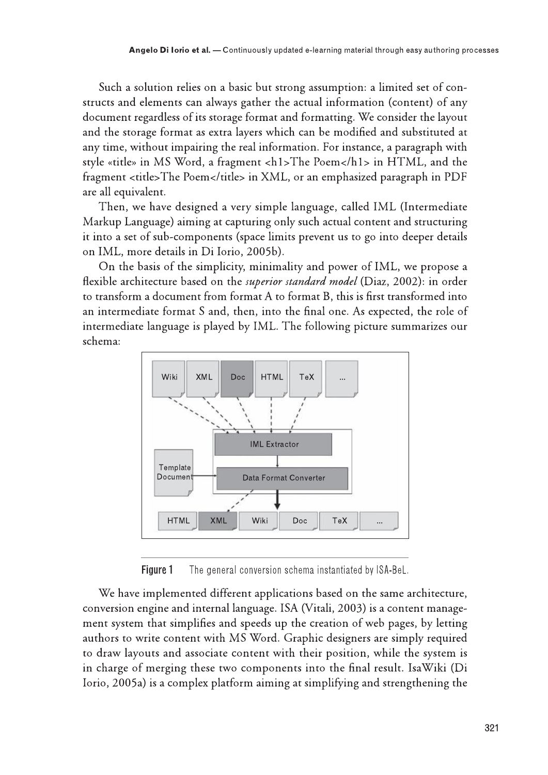Such a solution relies on a basic but strong assumption: a limited set of constructs and elements can always gather the actual information (content) of any document regardless of its storage format and formatting. We consider the layout and the storage format as extra layers which can be modified and substituted at any time, without impairing the real information. For instance, a paragraph with style «title» in MS Word, a fragment <h1>The Poem</h1> in HTML, and the fragment <title>The Poem</title> in XML, or an emphasized paragraph in PDF are all equivalent.

Then, we have designed a very simple language, called IML (Intermediate Markup Language) aiming at capturing only such actual content and structuring it into a set of sub-components (space limits prevent us to go into deeper details on IML, more details in Di Iorio, 2005b).

On the basis of the simplicity, minimality and power of IML, we propose a flexible architecture based on the *superior standard model* (Diaz, 2002): in order to transform a document from format A to format B, this is first transformed into an intermediate format S and, then, into the final one. As expected, the role of intermediate language is played by IML. The following picture summarizes our schema:



Figure 1 The general conversion schema instantiated by ISA-BeL.

We have implemented different applications based on the same architecture, conversion engine and internal language. ISA (Vitali, 2003) is a content management system that simplifies and speeds up the creation of web pages, by letting authors to write content with MS Word. Graphic designers are simply required to draw layouts and associate content with their position, while the system is in charge of merging these two components into the final result. IsaWiki (Di Iorio, 2005a) is a complex platform aiming at simplifying and strengthening the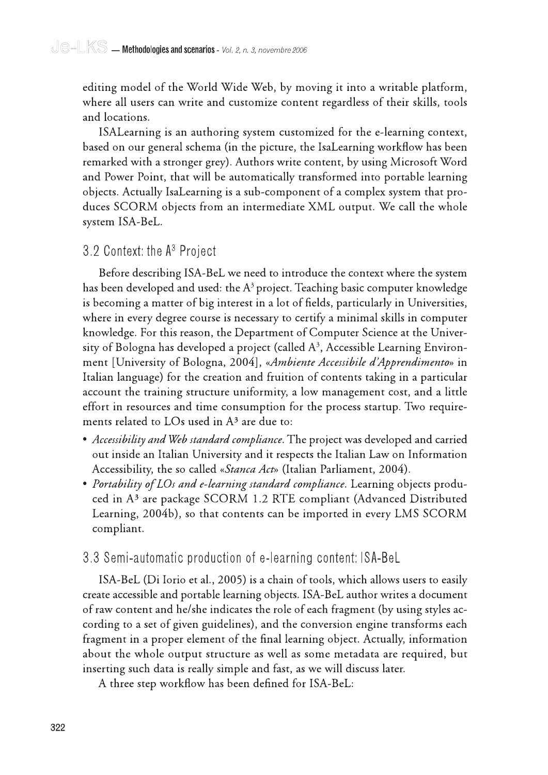editing model of the World Wide Web, by moving it into a writable platform, where all users can write and customize content regardless of their skills, tools and locations.

ISAL earning is an authoring system customized for the e-learning context, based on our general schema (in the picture, the IsaLearning workflow has been remarked with a stronger grey). Authors write content, by using Microsoft Word and Power Point, that will be automatically transformed into portable learning objects. Actually IsaLearning is a sub-component of a complex system that produces SCORM objects from an intermediate XML output. We call the whole system ISA-BeL.

#### 3.2 Context: the A<sup>3</sup> Project

Before describing ISA-BeL we need to introduce the context where the system has been developed and used: the  $A^3$  project. Teaching basic computer knowledge is becoming a matter of big interest in a lot of fields, particularly in Universities, where in every degree course is necessary to certify a minimal skills in computer knowledge. For this reason, the Department of Computer Science at the University of Bologna has developed a project (called  $A<sup>3</sup>$ , Accessible Learning Environment [University of Bologna, 2004], «Ambiente Accessibile d'Apprendimento» in Italian language) for the creation and fruition of contents taking in a particular account the training structure uniformity, a low management cost, and a little effort in resources and time consumption for the process startup. Two requirements related to LOs used in A<sup>3</sup> are due to:

- Accessibility and Web standard compliance. The project was developed and carried out inside an Italian University and it respects the Italian Law on Information Accessibility, the so called «Stanca Act» (Italian Parliament, 2004).
- Portability of LOs and e-learning standard compliance. Learning objects produced in A<sup>3</sup> are package SCORM 1.2 RTE compliant (Advanced Distributed Learning, 2004b), so that contents can be imported in every LMS SCORM compliant.

#### 3.3 Semi-automatic production of e-learning content: ISA-BeL

ISA-BeL (Di Iorio et al., 2005) is a chain of tools, which allows users to easily create accessible and portable learning objects. ISA-BeL author writes a document of raw content and he/she indicates the role of each fragment (by using styles according to a set of given guidelines), and the conversion engine transforms each fragment in a proper element of the final learning object. Actually, information about the whole output structure as well as some metadata are required, but inserting such data is really simple and fast, as we will discuss later.

A three step workflow has been defined for ISA-BeL: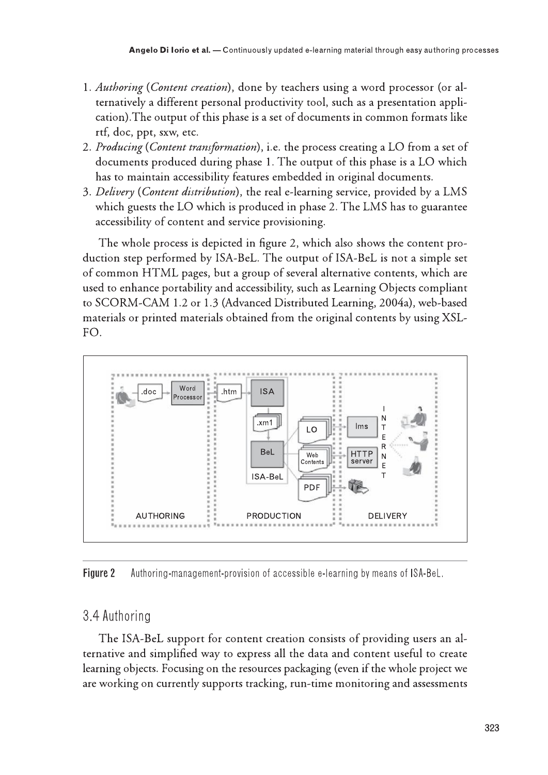- Angelo Di lorio et al. Continuously updated e-learning material through easy authoring pro-<br>
1. Authoring (*Content creation*), done by teachers using a word processor (or al-<br>
ternatively a different personal productivi ternatively a different personal productivity tool, such as a presentation application). The output of this phase is a set of documents in common formats like **Angelo Di lorio et al.** — Continuously updated e-learning material through easy authoring processor (or alternatively a different personal productivity tool, such as a presentation application). The output of this phase i Angelo Di lorio et al. — Continuously updated e-le<br>
1. Authoring (*Content creation*), done by teachers<br>
ternatively a different personal productivity too<br>
cation). The output of this phase is a set of docu<br>
rtf, doc, ppt, Angelo Di lorio et al. — Continuously updated e-learning material through easy authoring processor (or alternatively a different personal productivity tool, such as a presentation application). The output of this phase is **Authoring (Content creation)**, done by teachers using a word processor (or alternatively a different personal productivity tool, such as a presentation application). The output of this phase is a set of documents in commo
	-
	-

Authoring (Content creation), done by teachers using a word processor (or alternatively a different personal productivity tool, such as a presentation application).The output of this phase is a set of documents in common f 1. Authoring (*Content creation*), done by teachers using a word processor (or alternatively a different personal productivity tool, such as a presentation application). The output of this phase is a set of documents in co Authoring (Content creation), done by teachers using a word processor (or alternatively a different personal productivity tool, such as a presentation appli-<br>cation).The outure of this phase is a set of documents in common ternatively a different personal productivity tool, such as a presentation approach (and the set of documents in common formats ref, doc, ppt, sxw, etc.<br> *Producing* (*Content transformation*), i.e. the process creating a The whole process is depicted in figure 2, which also shows the content production step performed by ISA-BeL. The output of ISA-BeL is not a simple set 2. *Producing* (*Content transformation*), i.e. the process creating a LO from a set of documents produced during phase 1. The output of this phase is a LO which has to maintain accessibility features embedded in original of common HTML pages, but a group of several alternative contents, which are used to enhance portability and accessibility, such as Learning Objects compliant<br>to SCORM-CAM 1.2 or 1.3 (Advanced Distributed Learning, 2004a), web-based 3. *Delivery* (*Content distribution*), the real e-learning service, provided by a LMS<br>which guests the LO which is produced in phase 2. The LMS has to guarantee<br>accessibility of content and service provisioning.<br>The whol materials or printed materials obtained from the original contents by using XSL-FO.



**Figure 2** Authoring-management-provision of accessible e-learning by means of ISA-BeL.

### 3.4 Authoring

The ISA-BeL support for content creation consists of providing users an alternative and simplified way to express all the data and content useful to create<br>learning objects. Focusing on the resources packaging (even if the whole project we Figure 2 Authoring-management-provision of accessible e-learning by means of ISA-BeL.<br>
3.4 Authoring<br>
The ISA-BeL support for content creation consists of providing users an al-<br>
ternative and simplified way to express all are working on currently supports tracking, run-time monitoring and assessments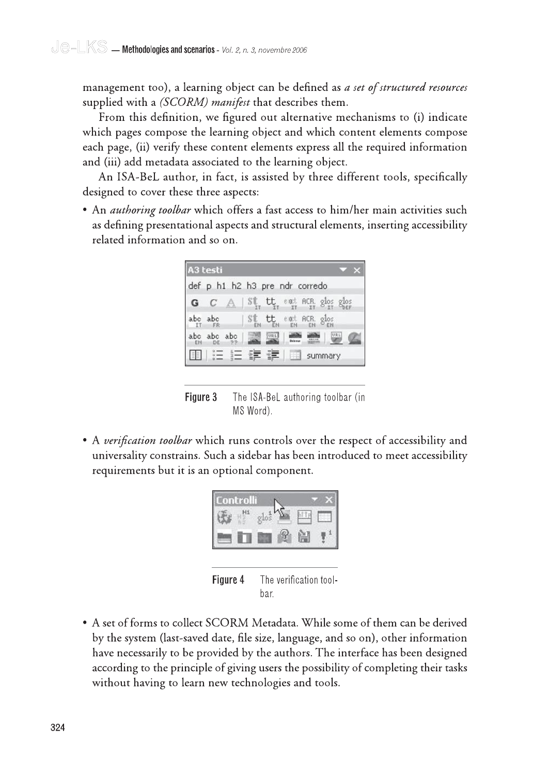management too), a learning object can be defined as a set of structured resources supplied with a *(SCORM) manifest* that describes them.

From this definition, we figured out alternative mechanisms to (i) indicate which pages compose the learning object and which content elements compose each page, (ii) verify these content elements express all the required information and (iii) add metadata associated to the learning object.

An ISA-BeL author, in fact, is assisted by three different tools, specifically designed to cover these three aspects:

• An *authoring toolbar* which offers a fast access to him/her main activities such as defining presentational aspects and structural elements, inserting accessibility related information and so on.

|    | A3 testi       |                                                                                                                                                                                                       |     |
|----|----------------|-------------------------------------------------------------------------------------------------------------------------------------------------------------------------------------------------------|-----|
|    |                | def p h1 h2 h3 pre ndr corredo                                                                                                                                                                        |     |
|    |                | $C \triangle \ \n\mathcal{S}_H^{\text{t}}\nL_H^{\text{t}}\nL_H^{\text{c}}\n_{\text{II}}^{\text{c}}\n_{\text{II}}^{\text{c}}\nR_H^{\text{c}}\nR_H^{\text{d}}\n_{\text{II}}^{\text{d}}\nR_H^{\text{d}}$ |     |
|    | abc abc<br>FR  | $\left  \begin{array}{cc} S^{\dagger} & t t \\ s \end{array} \right $ end acr.<br>$g_{\text{los}}$                                                                                                    |     |
|    | abo abo<br>abc | URL                                                                                                                                                                                                   | URL |
| 目前 |                | summary                                                                                                                                                                                               |     |

Figure 3 The ISA-BeL authoring toolbar (in MS Word).

• A verification toolbar which runs controls over the respect of accessibility and universality constrains. Such a sidebar has been introduced to meet accessibility requirements but it is an optional component.



Figure 4 The verification toolbar.

• A set of forms to collect SCORM Metadata. While some of them can be derived by the system (last-saved date, file size, language, and so on), other information have necessarily to be provided by the authors. The interface has been designed according to the principle of giving users the possibility of completing their tasks without having to learn new technologies and tools.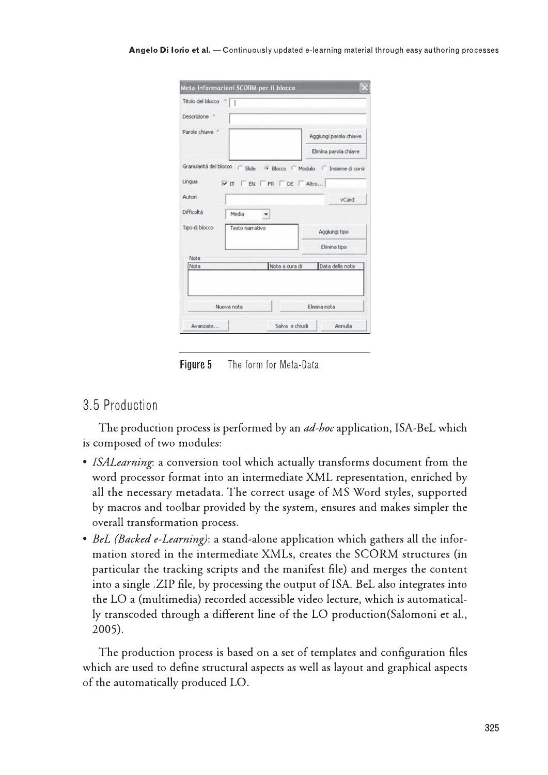| Titolo del blocco *  <br>Descrizione *<br>Parole chiave +<br>Granularità del blocco (Side (F Blocco (Modulo (C Insieme di corsi<br>Lingua<br>$\triangledown$ IT $\triangledown$ EN $\triangledown$ FR $\triangledown$ DE $\triangledown$ Altro<br>Autori<br>Difficoltà<br>Media<br>≛ | Aggiungi parola chiave<br>Elimina parola chiave<br>vCard |
|--------------------------------------------------------------------------------------------------------------------------------------------------------------------------------------------------------------------------------------------------------------------------------------|----------------------------------------------------------|
|                                                                                                                                                                                                                                                                                      |                                                          |
|                                                                                                                                                                                                                                                                                      |                                                          |
|                                                                                                                                                                                                                                                                                      |                                                          |
|                                                                                                                                                                                                                                                                                      |                                                          |
|                                                                                                                                                                                                                                                                                      |                                                          |
|                                                                                                                                                                                                                                                                                      |                                                          |
|                                                                                                                                                                                                                                                                                      |                                                          |
|                                                                                                                                                                                                                                                                                      |                                                          |
| Tipo di blocco<br>Testo narrativo                                                                                                                                                                                                                                                    | Aggiungi tipo                                            |
|                                                                                                                                                                                                                                                                                      | Elimina tipo                                             |
| Note                                                                                                                                                                                                                                                                                 |                                                          |
| Nota a cura di<br>Nota                                                                                                                                                                                                                                                               | Data della nota                                          |

**Figure 5** The form for Meta-Data.

The production process is performed by an *ad-hoc* application, ISA-BeL which is composed of two modules:

- Note<br>
Note<br>
Note<br>
Note<br>
Note<br>
Note<br>
Note<br>
Note<br>
Note<br>
Tigure 5<br>
Tigure 5<br>
Tigure 5<br>
S. 5 Production<br>
The production process is p<br>
is composed of two modules:<br>
Note Models:<br>
Note<br>
Note That into a<br>
Note That is a conversion • ISALearning: a conversion tool which actually transforms document from the word processor format into an intermediate XML representation, enriched by all the necessary metadata. The correct usage of MS Word styles, supported by macros and toolbar provided by the system, ensures and makes simpler the overall transformation process.
	- BeL (Backed e-Learning): a stand-alone application which gathers all the information stored in the intermediate XMLs, creates the SCORM structures (in particular the tracking scripts and the manifest file) and merges the content into a single .ZIP file, by processing the output of ISA. BeL also integrates into the LO a (multimedia) recorded accessible video lecture, which is automatically transcoded through a different line of the LO production (Salomoni et al.,  $2005$ ).

The production process is based on a set of templates and configuration files which are used to define structural aspects as well as layout and graphical aspects of the automatically produced LO.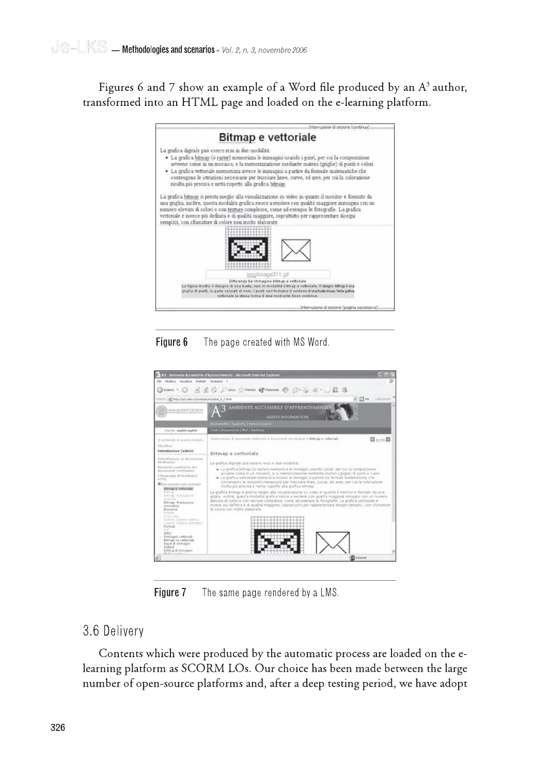Figures 6 and 7 show an example of a Word file produced by an  $A<sup>3</sup>$  author, transformed into an HTML page and loaded on the e-learning platform.



Figure 6 The page created with MS Word.



Figure 7 The same page rendered by a LMS.

#### 3.6 Delivery

Contents which were produced by the automatic process are loaded on the elearning platform as SCORM LOs. Our choice has been made between the large number of open-source platforms and, after a deep testing period, we have adopt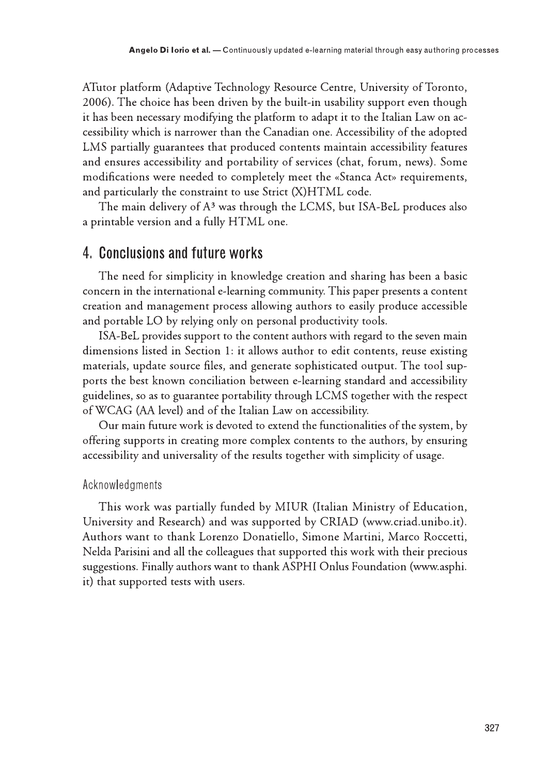ATutor platform (Adaptive Technology Resource Centre, University of Toronto, 2006). The choice has been driven by the built-in usability support even though it has been necessary modifying the platform to adapt it to the Italian Law on accessibility which is narrower than the Canadian one. Accessibility of the adopted LMS partially guarantees that produced contents maintain accessibility features and ensures accessibility and portability of services (chat, forum, news). Some modifications were needed to completely meet the «Stanca Act» requirements, and particularly the constraint to use Strict (X)HTML code.

The main delivery of A<sup>3</sup> was through the LCMS, but ISA-BeL produces also a printable version and a fully HTML one.

### 4. Conclusions and future works

The need for simplicity in knowledge creation and sharing has been a basic concern in the international e-learning community. This paper presents a content creation and management process allowing authors to easily produce accessible and portable LO by relying only on personal productivity tools.

ISA-BeL provides support to the content authors with regard to the seven main dimensions listed in Section 1: it allows author to edit contents, reuse existing materials, update source files, and generate sophisticated output. The tool supports the best known conciliation between e-learning standard and accessibility guidelines, so as to guarantee portability through LCMS together with the respect of WCAG (AA level) and of the Italian Law on accessibility.

Our main future work is devoted to extend the functionalities of the system, by offering supports in creating more complex contents to the authors, by ensuring accessibility and universality of the results together with simplicity of usage.

#### Acknowledgments

This work was partially funded by MIUR (Italian Ministry of Education, University and Research) and was supported by CRIAD (www.criad.unibo.it). Authors want to thank Lorenzo Donatiello, Simone Martini, Marco Roccetti, Nelda Parisini and all the colleagues that supported this work with their precious suggestions. Finally authors want to thank ASPHI Onlus Foundation (www.asphi. it) that supported tests with users.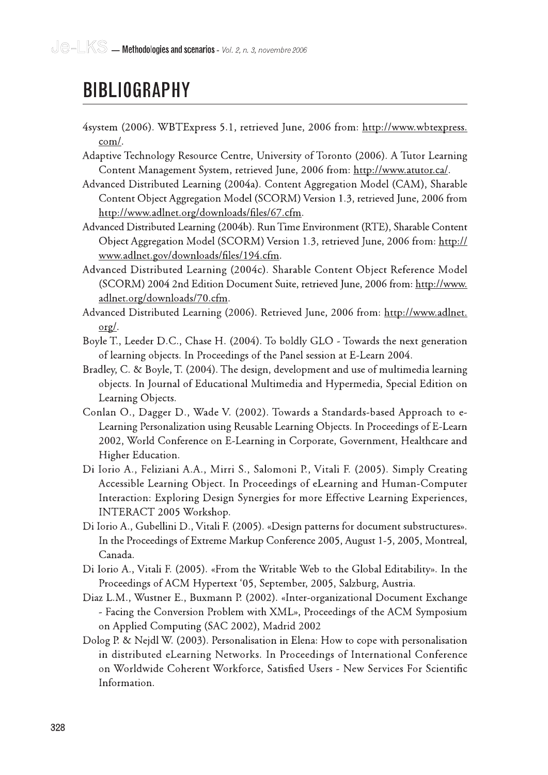- 4system (2006). WBTExpress 5.1, retrieved June, 2006 from: http://www.wbtexpress.  $com/$ .
- Adaptive Technology Resource Centre, University of Toronto (2006). A Tutor Learning Content Management System, retrieved June, 2006 from: http://www.atutor.ca/.
- **CONDAMPITY**<br> **CONDAMPITY**<br> **CONDAMPITY**<br> **CONDAMPITY**<br> **CONDAMPITY**<br> **CONDAMPITY**<br> **CONDAMPITY**<br> **CONDAMPITY**<br> **CONDAMPITY**<br> **CONDAMPITY**<br> **CONDAMPITY**<br>
CONDAMPION:<br>
CONDAMPION:<br>
CONDAMPION:<br>
CONDAMPION:<br>
CONDAMPION:<br> **CO** Advanced Distributed Learning (2004a). Content Aggregation Model (CAM), Sharable Content Object Aggregation Model (SCORM) Version 1.3, retrieved June, 2006 from http://www.adlnet.org/downloads/files/67.cfm.
	- Advanced Distributed Learning (2004b). Run Time Environment (RTE), Sharable Content Object Aggregation Model (SCORM) Version 1.3, retrieved June, 2006 from: http:// www.adlnet.gov/downloads/files/194.cfm.
	- Advanced Distributed Learning (2004c). Sharable Content Object Reference Model (SCORM) 2004 2nd Edition Document Suite, retrieved June, 2006 from: http://www. adlnet.org/downloads/70.cfm.
	- Advanced Distributed Learning (2006). Retrieved June, 2006 from: http://www.adlnet.  $\sigma$ g/.
	- Boyle T., Leeder D.C., Chase H. (2004). To boldly GLO Towards the next generation of learning objects. In Proceedings of the Panel session at E-Learn 2004.
	- Bradley, C. & Boyle, T. (2004). The design, development and use of multimedia learning objects. In Journal of Educational Multimedia and Hypermedia, Special Edition on Learning Objects.
	- Conlan O., Dagger D., Wade V. (2002). Towards a Standards-based Approach to e-Learning Personalization using Reusable Learning Objects. In Proceedings of E-Learn 2002, World Conference on E-Learning in Corporate, Government, Healthcare and Higher Education.
	- Di Iorio A., Feliziani A.A., Mirri S., Salomoni P., Vitali F. (2005). Simply Creating Accessible Learning Object. In Proceedings of eLearning and Human-Computer Interaction: Exploring Design Synergies for more Effective Learning Experiences, INTERACT 2005 Workshop.
	- Di Iorio A., Gubellini D., Vitali F. (2005). «Design patterns for document substructures». In the Proceedings of Extreme Markup Conference 2005, August 1-5, 2005, Montreal, Canada.
	- Di Iorio A., Vitali F. (2005). «From the Writable Web to the Global Editability». In the Proceedings of ACM Hypertext '05, September, 2005, Salzburg, Austria.
	- Diaz L.M., Wustner E., Buxmann P. (2002). «Inter-organizational Document Exchange - Facing the Conversion Problem with XML», Proceedings of the ACM Symposium on Applied Computing (SAC 2002), Madrid 2002
	- Dolog P. & Nejdl W. (2003). Personalisation in Elena: How to cope with personalisation in distributed eLearning Networks. In Proceedings of International Conference on Worldwide Coherent Workforce, Satisfied Users - New Services For Scientific Information.